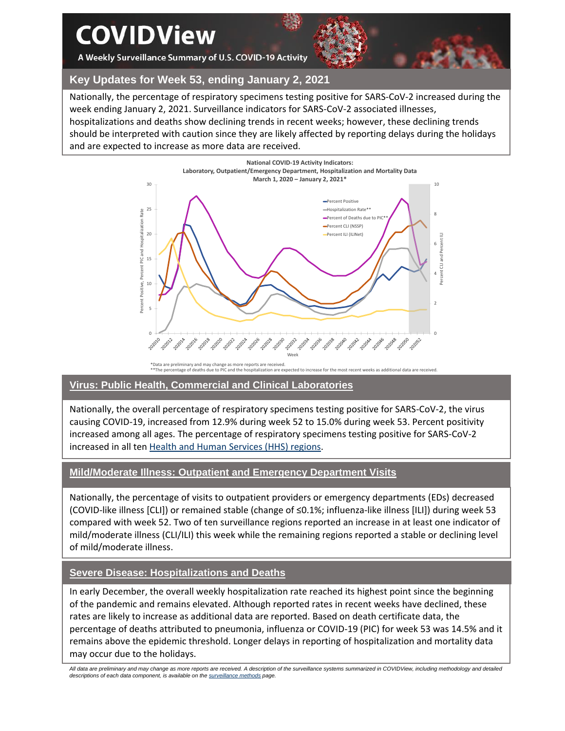# **COVIDView**

A Weekly Surveillance Summary of U.S. COVID-19 Activity



**Key Updates for Week 53, ending January 2, 2021**

Nationally, the percentage of respiratory specimens testing positive for SARS-CoV-2 increased during the week ending January 2, 2021. Surveillance indicators for SARS-CoV-2 associated illnesses, hospitalizations and deaths show declining trends in recent weeks; however, these declining trends should be interpreted with caution since they are likely affected by reporting delays during the holidays and are expected to increase as more data are received.



\*Data are preliminary and may change as more reports are received. \*\*The percentage of deaths due to PIC and the hospitalization are expected to increase for the most recent weeks as additional data are received.

# **Virus: Public Health, Commercial and Clinical Laboratories**

Nationally, the overall percentage of respiratory specimens testing positive for SARS-CoV-2, the virus causing COVID-19, increased from 12.9% during week 52 to 15.0% during week 53. Percent positivity increased among all ages. The percentage of respiratory specimens testing positive for SARS-CoV-2 increased in all ten [Health and Human Services \(HHS\)](https://www.hhs.gov/about/agencies/iea/regional-offices/index.html) regions.

# **Mild/Moderate Illness: Outpatient and Emergency Department Visits**

Nationally, the percentage of visits to outpatient providers or emergency departments (EDs) decreased (COVID-like illness [CLI]) or remained stable (change of ≤0.1%; influenza-like illness [ILI]) during week 53 compared with week 52. Two of ten surveillance regions reported an increase in at least one indicator of mild/moderate illness (CLI/ILI) this week while the remaining regions reported a stable or declining level of mild/moderate illness.

# **Severe Disease: Hospitalizations and Deaths**

In early December, the overall weekly hospitalization rate reached its highest point since the beginning of the pandemic and remains elevated. Although reported rates in recent weeks have declined, these rates are likely to increase as additional data are reported. Based on death certificate data, the percentage of deaths attributed to pneumonia, influenza or COVID-19 (PIC) for week 53 was 14.5% and it remains above the epidemic threshold. Longer delays in reporting of hospitalization and mortality data may occur due to the holidays.

All data are preliminary and may change as more reports are received. A description of the surveillance systems summarized in COVIDView, including methodology and detailed *descriptions of each data component, is available on th[e surveillance methods](https://www.cdc.gov/coronavirus/2019-ncov/covid-data/covidview/purpose-methods.html) page.*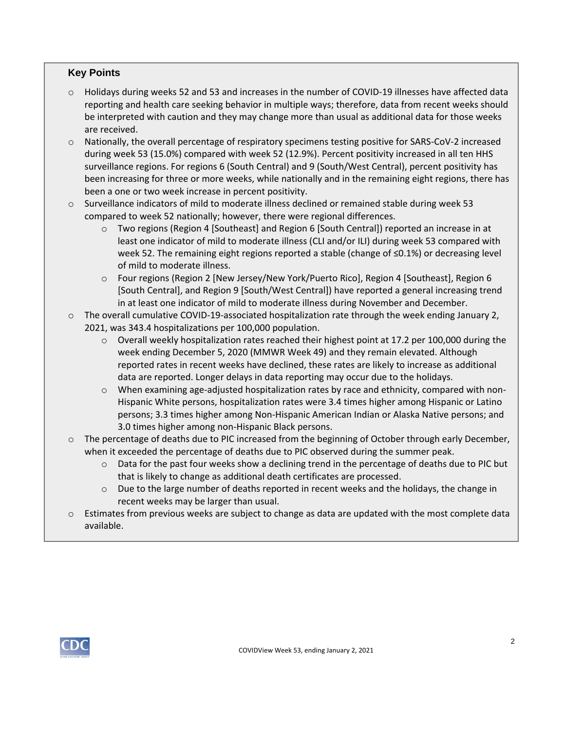# **Key Points**

- $\circ$  Holidays during weeks 52 and 53 and increases in the number of COVID-19 illnesses have affected data reporting and health care seeking behavior in multiple ways; therefore, data from recent weeks should be interpreted with caution and they may change more than usual as additional data for those weeks are received.
- o Nationally, the overall percentage of respiratory specimens testing positive for SARS-CoV-2 increased during week 53 (15.0%) compared with week 52 (12.9%). Percent positivity increased in all ten HHS surveillance regions. For regions 6 (South Central) and 9 (South/West Central), percent positivity has been increasing for three or more weeks, while nationally and in the remaining eight regions, there has been a one or two week increase in percent positivity.
- o Surveillance indicators of mild to moderate illness declined or remained stable during week 53 compared to week 52 nationally; however, there were regional differences.
	- o Two regions (Region 4 [Southeast] and Region 6 [South Central]) reported an increase in at least one indicator of mild to moderate illness (CLI and/or ILI) during week 53 compared with week 52. The remaining eight regions reported a stable (change of ≤0.1%) or decreasing level of mild to moderate illness.
	- o Four regions (Region 2 [New Jersey/New York/Puerto Rico], Region 4 [Southeast], Region 6 [South Central], and Region 9 [South/West Central]) have reported a general increasing trend in at least one indicator of mild to moderate illness during November and December.
- $\circ$  The overall cumulative COVID-19-associated hospitalization rate through the week ending January 2, 2021, was 343.4 hospitalizations per 100,000 population.
	- o Overall weekly hospitalization rates reached their highest point at 17.2 per 100,000 during the week ending December 5, 2020 (MMWR Week 49) and they remain elevated. Although reported rates in recent weeks have declined, these rates are likely to increase as additional data are reported. Longer delays in data reporting may occur due to the holidays.
	- $\circ$  When examining age-adjusted hospitalization rates by race and ethnicity, compared with non-Hispanic White persons, hospitalization rates were 3.4 times higher among Hispanic or Latino persons; 3.3 times higher among Non-Hispanic American Indian or Alaska Native persons; and 3.0 times higher among non-Hispanic Black persons.
- $\circ$  The percentage of deaths due to PIC increased from the beginning of October through early December, when it exceeded the percentage of deaths due to PIC observed during the summer peak.
	- $\circ$  Data for the past four weeks show a declining trend in the percentage of deaths due to PIC but that is likely to change as additional death certificates are processed.
	- $\circ$  Due to the large number of deaths reported in recent weeks and the holidays, the change in recent weeks may be larger than usual.
- $\circ$  Estimates from previous weeks are subject to change as data are updated with the most complete data available.

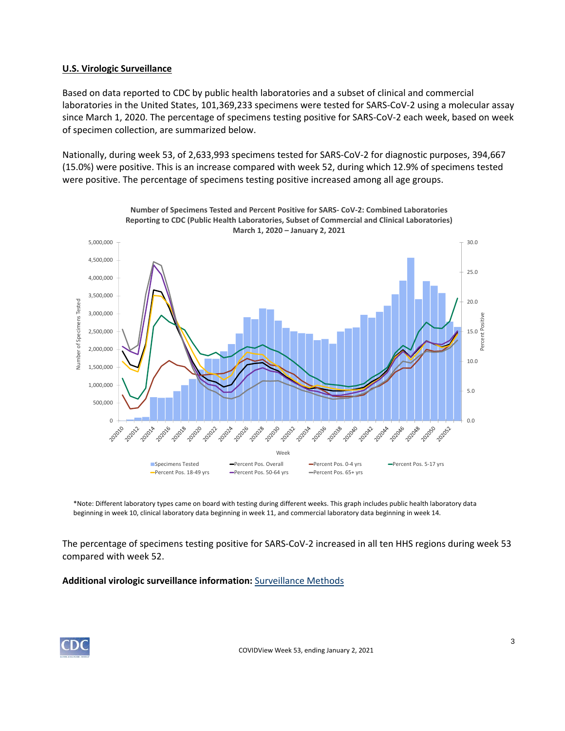## **U.S. Virologic Surveillance**

Based on data reported to CDC by public health laboratories and a subset of clinical and commercial laboratories in the United States, 101,369,233 specimens were tested for SARS-CoV-2 using a molecular assay since March 1, 2020. The percentage of specimens testing positive for SARS-CoV-2 each week, based on week of specimen collection, are summarized below.

Nationally, during week 53, of 2,633,993 specimens tested for SARS-CoV-2 for diagnostic purposes, 394,667 (15.0%) were positive. This is an increase compared with week 52, during which 12.9% of specimens tested were positive. The percentage of specimens testing positive increased among all age groups.



\*Note: Different laboratory types came on board with testing during different weeks. This graph includes public health laboratory data beginning in week 10, clinical laboratory data beginning in week 11, and commercial laboratory data beginning in week 14.

The percentage of specimens testing positive for SARS-CoV-2 increased in all ten HHS regions during week 53 compared with week 52.

**Additional virologic surveillance information:** [Surveillance Methods](https://www.cdc.gov/coronavirus/2019-ncov/covid-data/covidview/purpose-methods.html#virologic) 

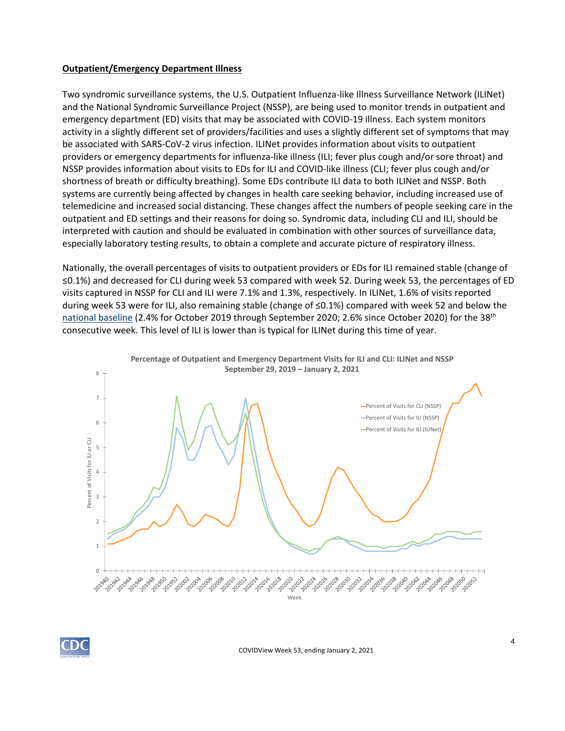#### **Outpatient/Emergency Department Illness**

Two syndromic surveillance systems, the U.S. Outpatient Influenza-like Illness Surveillance Network (ILINet) and the National Syndromic Surveillance Project (NSSP), are being used to monitor trends in outpatient and emergency department (ED) visits that may be associated with COVID-19 illness. Each system monitors activity in a slightly different set of providers/facilities and uses a slightly different set of symptoms that may be associated with SARS-CoV-2 virus infection. ILINet provides information about visits to outpatient providers or emergency departments for influenza-like illness (ILI; fever plus cough and/or sore throat) and NSSP provides information about visits to EDs for ILI and COVID-like illness (CLI; fever plus cough and/or shortness of breath or difficulty breathing). Some EDs contribute ILI data to both ILINet and NSSP. Both systems are currently being affected by changes in health care seeking behavior, including increased use of telemedicine and increased social distancing. These changes affect the numbers of people seeking care in the outpatient and ED settings and their reasons for doing so. Syndromic data, including CLI and ILI, should be interpreted with caution and should be evaluated in combination with other sources of surveillance data, especially laboratory testing results, to obtain a complete and accurate picture of respiratory illness.

Nationally, the overall percentages of visits to outpatient providers or EDs for ILI remained stable (change of ≤0.1%) and decreased for CLI during week 53 compared with week 52. During week 53, the percentages of ED visits captured in NSSP for CLI and ILI were 7.1% and 1.3%, respectively. In ILINet, 1.6% of visits reported during week 53 were for ILI, also remaining stable (change of ≤0.1%) compared with week 52 and below the [national baseline](https://www.cdc.gov/coronavirus/2019-ncov/covid-data/covidview/purpose-methods.html#outpatient) (2.4% for October 2019 through September 2020; 2.6% since October 2020) for the 38<sup>th</sup> consecutive week. This level of ILI is lower than is typical for ILINet during this time of year.



**Percentage of Outpatient and Emergency Department Visits for ILI and CLI: ILINet and NSSP** 

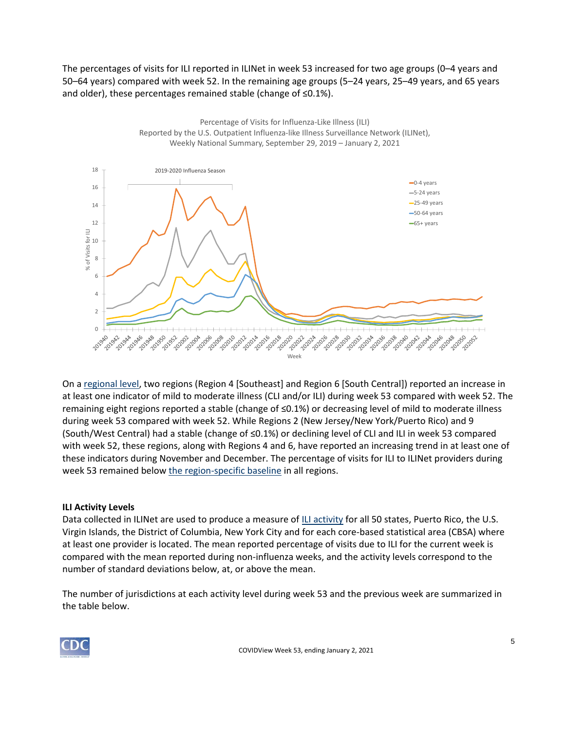The percentages of visits for ILI reported in ILINet in week 53 increased for two age groups (0–4 years and 50–64 years) compared with week 52. In the remaining age groups (5–24 years, 25–49 years, and 65 years and older), these percentages remained stable (change of ≤0.1%).



On a [regional level,](https://www.hhs.gov/about/agencies/iea/regional-offices/index.html) two regions (Region 4 [Southeast] and Region 6 [South Central]) reported an increase in at least one indicator of mild to moderate illness (CLI and/or ILI) during week 53 compared with week 52. The remaining eight regions reported a stable (change of ≤0.1%) or decreasing level of mild to moderate illness during week 53 compared with week 52. While Regions 2 (New Jersey/New York/Puerto Rico) and 9 (South/West Central) had a stable (change of ≤0.1%) or declining level of CLI and ILI in week 53 compared with week 52, these regions, along with Regions 4 and 6, have reported an increasing trend in at least one of these indicators during November and December. The percentage of visits for ILI to ILINet providers during week 53 remained below [the region-specific baseline](https://www.cdc.gov/coronavirus/2019-ncov/covid-data/covidview/purpose-methods.html#outpatient) in all regions.

#### **ILI Activity Levels**

Data collected in ILINet are used to produce a measure of [ILI activity](https://www.cdc.gov/coronavirus/2019-ncov/covid-data/covidview/purpose-methods.html#outpatient) for all 50 states, Puerto Rico, the U.S. Virgin Islands, the District of Columbia, New York City and for each core-based statistical area (CBSA) where at least one provider is located. The mean reported percentage of visits due to ILI for the current week is compared with the mean reported during non-influenza weeks, and the activity levels correspond to the number of standard deviations below, at, or above the mean.

The number of jurisdictions at each activity level during week 53 and the previous week are summarized in the table below.

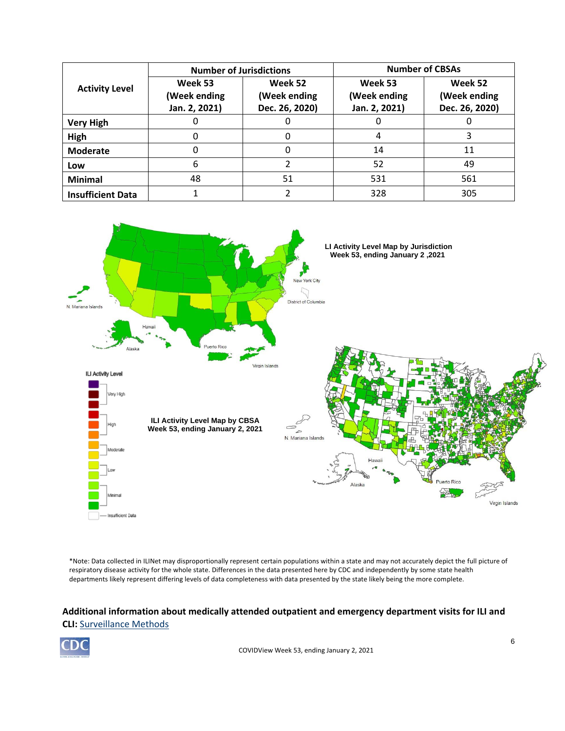| <b>Activity Level</b>    | <b>Number of Jurisdictions</b>           |                                           | <b>Number of CBSAs</b>                   |                                           |  |
|--------------------------|------------------------------------------|-------------------------------------------|------------------------------------------|-------------------------------------------|--|
|                          | Week 53<br>(Week ending<br>Jan. 2, 2021) | Week 52<br>(Week ending<br>Dec. 26, 2020) | Week 53<br>(Week ending<br>Jan. 2, 2021) | Week 52<br>(Week ending<br>Dec. 26, 2020) |  |
| <b>Very High</b>         |                                          |                                           |                                          |                                           |  |
| High                     |                                          |                                           | 4                                        |                                           |  |
| <b>Moderate</b>          |                                          |                                           | 14                                       | 11                                        |  |
| Low                      | 6                                        |                                           | 52                                       | 49                                        |  |
| <b>Minimal</b>           | 48                                       | 51                                        | 531                                      | 561                                       |  |
| <b>Insufficient Data</b> |                                          |                                           | 328                                      | 305                                       |  |



\*Note: Data collected in ILINet may disproportionally represent certain populations within a state and may not accurately depict the full picture of respiratory disease activity for the whole state. Differences in the data presented here by CDC and independently by some state health departments likely represent differing levels of data completeness with data presented by the state likely being the more complete.

# **Additional information about medically attended outpatient and emergency department visits for ILI and CLI:** [Surveillance Methods](https://www.cdc.gov/coronavirus/2019-ncov/covid-data/covidview/purpose-methods.html#outpatient)

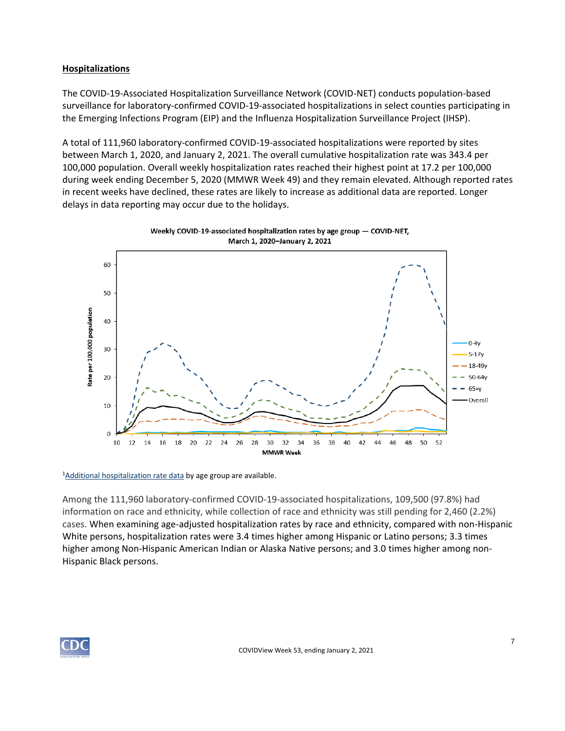## **Hospitalizations**

The COVID-19-Associated Hospitalization Surveillance Network (COVID-NET) conducts population-based surveillance for laboratory-confirmed COVID-19-associated hospitalizations in select counties participating in the Emerging Infections Program (EIP) and the Influenza Hospitalization Surveillance Project (IHSP).

A total of 111,960 laboratory-confirmed COVID-19-associated hospitalizations were reported by sites between March 1, 2020, and January 2, 2021. The overall cumulative hospitalization rate was 343.4 per 100,000 population. Overall weekly hospitalization rates reached their highest point at 17.2 per 100,000 during week ending December 5, 2020 (MMWR Week 49) and they remain elevated. Although reported rates in recent weeks have declined, these rates are likely to increase as additional data are reported. Longer delays in data reporting may occur due to the holidays.



Weekly COVID-19-associated hospitalization rates by age group - COVID-NET,

<sup>1</sup>[Additional hospitalization rate data](https://gis.cdc.gov/grasp/COVIDNet/COVID19_3.html) by age group are available.

Among the 111,960 laboratory-confirmed COVID-19-associated hospitalizations, 109,500 (97.8%) had information on race and ethnicity, while collection of race and ethnicity was still pending for 2,460 (2.2%) cases. When examining age-adjusted hospitalization rates by race and ethnicity, compared with non-Hispanic White persons, hospitalization rates were 3.4 times higher among Hispanic or Latino persons; 3.3 times higher among Non-Hispanic American Indian or Alaska Native persons; and 3.0 times higher among non-Hispanic Black persons.

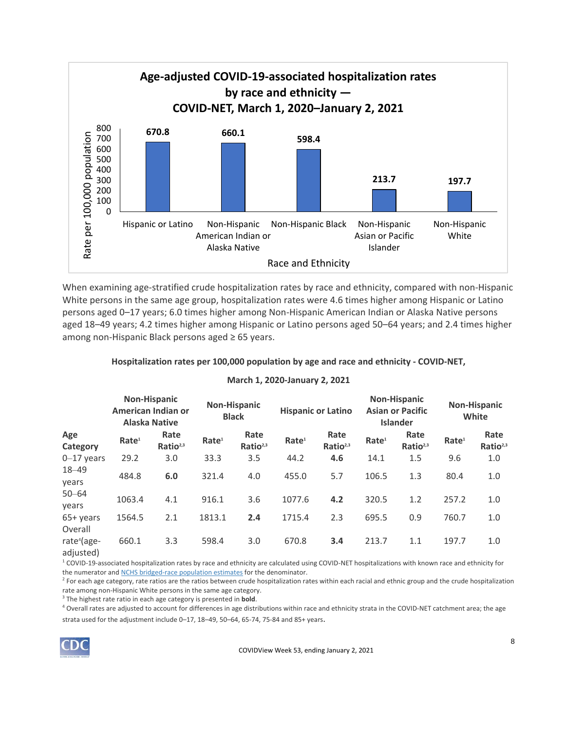

When examining age-stratified crude hospitalization rates by race and ethnicity, compared with non-Hispanic White persons in the same age group, hospitalization rates were 4.6 times higher among Hispanic or Latino persons aged 0–17 years; 6.0 times higher among Non-Hispanic American Indian or Alaska Native persons aged 18–49 years; 4.2 times higher among Hispanic or Latino persons aged 50–64 years; and 2.4 times higher among non-Hispanic Black persons aged ≥ 65 years.

#### **Hospitalization rates per 100,000 population by age and race and ethnicity - COVID-NET,**

#### **March 1, 2020-January 2, 2021**

|                                                   |                   | <b>Non-Hispanic</b><br>American Indian or<br><b>Alaska Native</b> |                   | <b>Non-Hispanic</b><br><b>Black</b> |                   | <b>Hispanic or Latino</b>    |                   | <b>Non-Hispanic</b><br><b>Asian or Pacific</b><br><b>Islander</b> |                   | <b>Non-Hispanic</b><br>White |
|---------------------------------------------------|-------------------|-------------------------------------------------------------------|-------------------|-------------------------------------|-------------------|------------------------------|-------------------|-------------------------------------------------------------------|-------------------|------------------------------|
| Age<br>Category                                   | Rate <sup>1</sup> | Rate<br>Ratio <sup>2,3</sup>                                      | Rate <sup>1</sup> | Rate<br>Ratio <sup>2,3</sup>        | Rate <sup>1</sup> | Rate<br>Ratio <sup>2,3</sup> | Rate <sup>1</sup> | Rate<br>Ratio <sup>2,3</sup>                                      | Rate <sup>1</sup> | Rate<br>Ratio <sup>2,3</sup> |
| $0-17$ years                                      | 29.2              | 3.0                                                               | 33.3              | 3.5                                 | 44.2              | 4.6                          | 14.1              | 1.5                                                               | 9.6               | 1.0                          |
| $18 - 49$<br>years                                | 484.8             | 6.0                                                               | 321.4             | 4.0                                 | 455.0             | 5.7                          | 106.5             | 1.3                                                               | 80.4              | 1.0                          |
| $50 - 64$<br>vears                                | 1063.4            | 4.1                                                               | 916.1             | 3.6                                 | 1077.6            | 4.2                          | 320.5             | 1.2                                                               | 257.2             | 1.0                          |
| 65+ years                                         | 1564.5            | 2.1                                                               | 1813.1            | 2.4                                 | 1715.4            | 2.3                          | 695.5             | 0.9                                                               | 760.7             | 1.0                          |
| Overall<br>rate <sup>4</sup> (age-<br>الممدمن:امم | 660.1             | 3.3                                                               | 598.4             | 3.0                                 | 670.8             | 3.4                          | 213.7             | 1.1                                                               | 197.7             | 1.0                          |

adjusted)

<sup>1</sup> COVID-19-associated hospitalization rates by race and ethnicity are calculated using COVID-NET hospitalizations with known race and ethnicity for the numerator and [NCHS bridged-race population estimates](https://www.cdc.gov/nchs/nvss/bridged_race.htm) for the denominator.

<sup>2</sup> For each age category, rate ratios are the ratios between crude hospitalization rates within each racial and ethnic group and the crude hospitalization rate among non-Hispanic White persons in the same age category.

3 The highest rate ratio in each age category is presented in **bold**.

<sup>4</sup> Overall rates are adjusted to account for differences in age distributions within race and ethnicity strata in the COVID-NET catchment area; the age strata used for the adjustment include 0–17, 18–49, 50–64, 65-74, 75-84 and 85+ years.

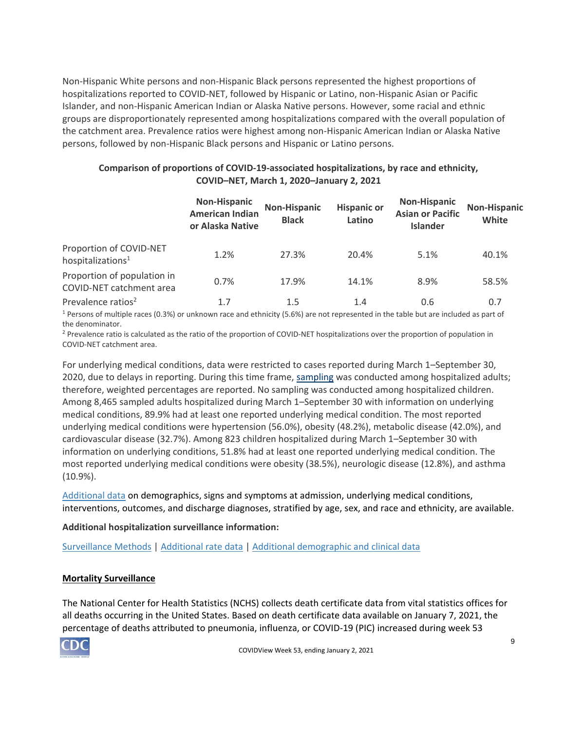Non-Hispanic White persons and non-Hispanic Black persons represented the highest proportions of hospitalizations reported to COVID-NET, followed by Hispanic or Latino, non-Hispanic Asian or Pacific Islander, and non-Hispanic American Indian or Alaska Native persons. However, some racial and ethnic groups are disproportionately represented among hospitalizations compared with the overall population of the catchment area. Prevalence ratios were highest among non-Hispanic American Indian or Alaska Native persons, followed by non-Hispanic Black persons and Hispanic or Latino persons.

# **Comparison of proportions of COVID-19-associated hospitalizations, by race and ethnicity, COVID–NET, March 1, 2020–January 2, 2021**

|                                                          | <b>Non-Hispanic</b><br><b>American Indian</b><br>or Alaska Native | <b>Non-Hispanic</b><br><b>Black</b> | <b>Hispanic or</b><br>Latino | <b>Non-Hispanic</b><br><b>Asian or Pacific</b><br><b>Islander</b> | <b>Non-Hispanic</b><br>White |
|----------------------------------------------------------|-------------------------------------------------------------------|-------------------------------------|------------------------------|-------------------------------------------------------------------|------------------------------|
| Proportion of COVID-NET<br>hospitalizations <sup>1</sup> | 1.2%                                                              | 27.3%                               | 20.4%                        | 5.1%                                                              | 40.1%                        |
| Proportion of population in<br>COVID-NET catchment area  | 0.7%                                                              | 17.9%                               | 14.1%                        | 8.9%                                                              | 58.5%                        |
| Prevalence ratios <sup>2</sup>                           | 1.7                                                               | $1.5\,$                             | 1.4                          | 0.6                                                               | 0.7                          |

<sup>1</sup> Persons of multiple races (0.3%) or unknown race and ethnicity (5.6%) are not represented in the table but are included as part of the denominator.

<sup>2</sup> Prevalence ratio is calculated as the ratio of the proportion of COVID-NET hospitalizations over the proportion of population in COVID-NET catchment area.

For underlying medical conditions, data were restricted to cases reported during March 1–September 30, 2020, due to delays in reporting. During this time frame, [sampling](https://www.cdc.gov/coronavirus/2019-ncov/covid-data/covidview/purpose-methods.html#hospitalization) was conducted among hospitalized adults; therefore, weighted percentages are reported. No sampling was conducted among hospitalized children. Among 8,465 sampled adults hospitalized during March 1–September 30 with information on underlying medical conditions, 89.9% had at least one reported underlying medical condition. The most reported underlying medical conditions were hypertension (56.0%), obesity (48.2%), metabolic disease (42.0%), and cardiovascular disease (32.7%). Among 823 children hospitalized during March 1–September 30 with information on underlying conditions, 51.8% had at least one reported underlying medical condition. The most reported underlying medical conditions were obesity (38.5%), neurologic disease (12.8%), and asthma (10.9%).

[Additional data](https://gis.cdc.gov/grasp/COVIDNet/COVID19_5.html) on demographics, signs and symptoms at admission, underlying medical conditions, interventions, outcomes, and discharge diagnoses, stratified by age, sex, and race and ethnicity, are available.

# **Additional hospitalization surveillance information:**

[Surveillance Methods](https://www.cdc.gov/coronavirus/2019-ncov/covid-data/covidview/purpose-methods.html#hospitalization) | [Additional rate data](https://gis.cdc.gov/grasp/COVIDNet/COVID19_3.html) | [Additional demographic and clinical data](https://gis.cdc.gov/grasp/COVIDNet/COVID19_5.html)

#### **Mortality Surveillance**

The National Center for Health Statistics (NCHS) collects death certificate data from vital statistics offices for all deaths occurring in the United States. Based on death certificate data available on January 7, 2021, the percentage of deaths attributed to pneumonia, influenza, or COVID-19 (PIC) increased during week 53

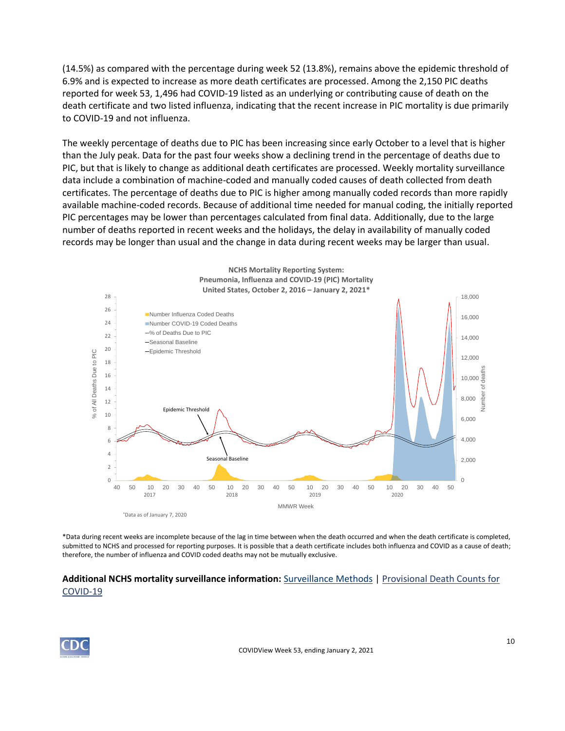(14.5%) as compared with the percentage during week 52 (13.8%), remains above the epidemic threshold of 6.9% and is expected to increase as more death certificates are processed. Among the 2,150 PIC deaths reported for week 53, 1,496 had COVID-19 listed as an underlying or contributing cause of death on the death certificate and two listed influenza, indicating that the recent increase in PIC mortality is due primarily to COVID-19 and not influenza.

The weekly percentage of deaths due to PIC has been increasing since early October to a level that is higher than the July peak. Data for the past four weeks show a declining trend in the percentage of deaths due to PIC, but that is likely to change as additional death certificates are processed. Weekly mortality surveillance data include a combination of machine-coded and manually coded causes of death collected from death certificates. The percentage of deaths due to PIC is higher among manually coded records than more rapidly available machine-coded records. Because of additional time needed for manual coding, the initially reported PIC percentages may be lower than percentages calculated from final data. Additionally, due to the large number of deaths reported in recent weeks and the holidays, the delay in availability of manually coded records may be longer than usual and the change in data during recent weeks may be larger than usual.



\*Data during recent weeks are incomplete because of the lag in time between when the death occurred and when the death certificate is completed, submitted to NCHS and processed for reporting purposes. It is possible that a death certificate includes both influenza and COVID as a cause of death; therefore, the number of influenza and COVID coded deaths may not be mutually exclusive.

# **Additional NCHS mortality surveillance information:** [Surveillance Methods](https://www.cdc.gov/coronavirus/2019-ncov/covid-data/covidview/purpose-methods.html#mortality) | [Provisional Death Counts for](https://www.cdc.gov/nchs/nvss/vsrr/COVID19/index.htm)  [COVID-19](https://www.cdc.gov/nchs/nvss/vsrr/COVID19/index.htm)